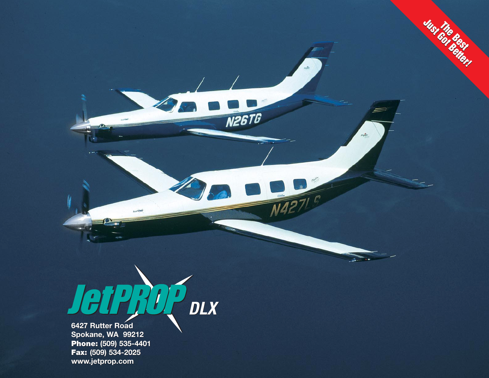

**6427 Rutter Road6427 Rutter Road Spokane, WA 99212 Spokane, WA 99212 Phone: (509) 535-4401 Phone: (509) 535-4401 Fax: (509) 534-2025 Fax: (509) 534-2025 www.jetprop.com**